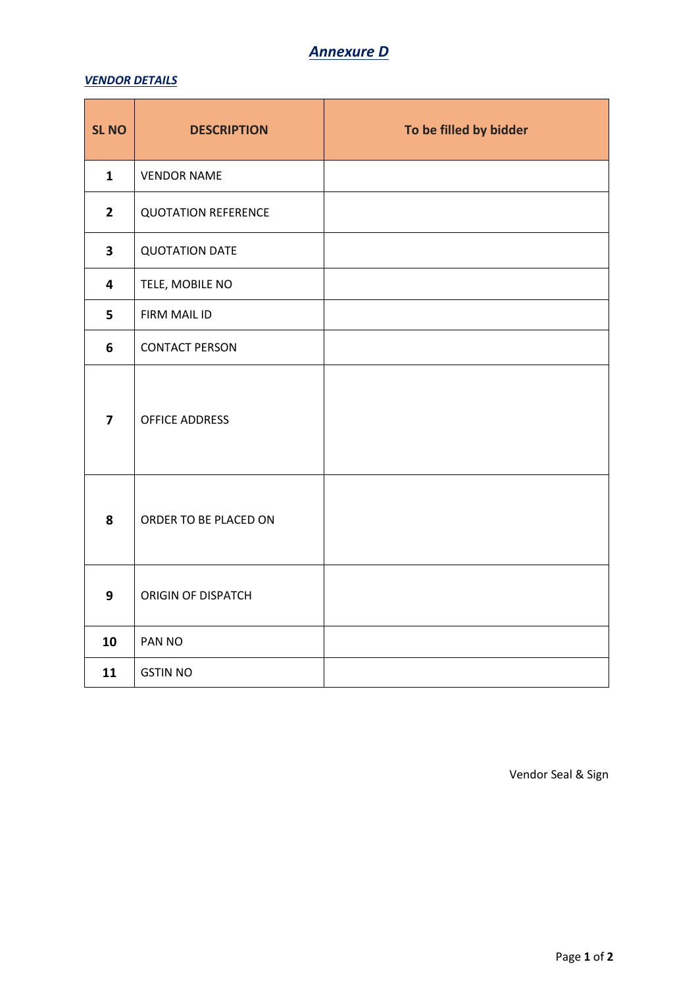## *Annexure D*

## *VENDOR DETAILS*

| <b>SL NO</b>            | <b>DESCRIPTION</b>         | To be filled by bidder |
|-------------------------|----------------------------|------------------------|
| $\mathbf{1}$            | <b>VENDOR NAME</b>         |                        |
| $\overline{2}$          | <b>QUOTATION REFERENCE</b> |                        |
| $\mathbf{3}$            | <b>QUOTATION DATE</b>      |                        |
| 4                       | TELE, MOBILE NO            |                        |
| 5                       | FIRM MAIL ID               |                        |
| 6                       | <b>CONTACT PERSON</b>      |                        |
| $\overline{\mathbf{z}}$ | OFFICE ADDRESS             |                        |
| 8                       | ORDER TO BE PLACED ON      |                        |
| 9                       | ORIGIN OF DISPATCH         |                        |
| 10                      | PAN NO                     |                        |
| 11                      | <b>GSTIN NO</b>            |                        |

Vendor Seal & Sign